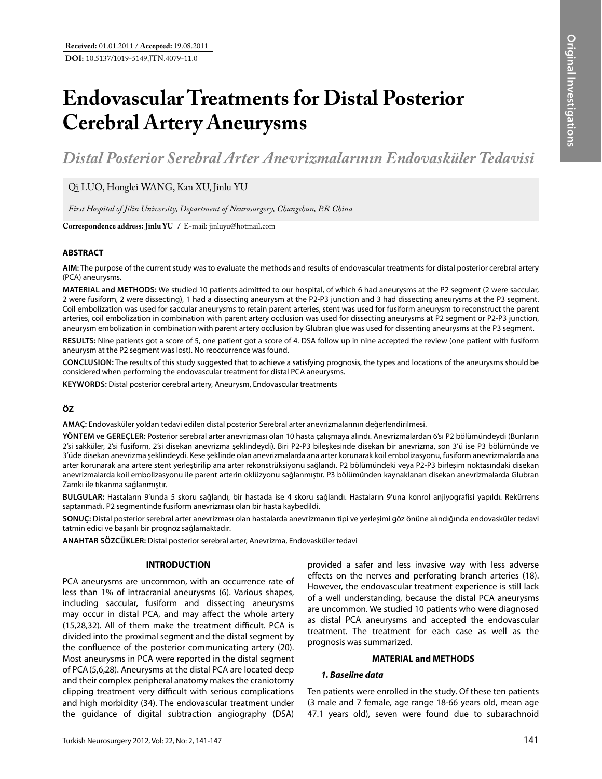# **Endovascular Treatments for Distal Posterior Cerebral Artery Aneurysms**

*Distal Posterior Serebral Arter Anevrizmalarının Endovasküler Tedavisi*

Qi Luo, Honglei Wang, Kan Xu, Jinlu Yu

*First Hospital of Jilin University, Department of Neurosurgery, Changchun, P.R China*

**Correspondence address: Jinlu Yu /** E-mail: jinluyu@hotmail.com

### **ABSTRACT**

**AIm:** The purpose of the current study was to evaluate the methods and results of endovascular treatments for distal posterior cerebral artery (PCA) aneurysms.

**MaterIal and Methods:** We studied 10 patients admitted to our hospital, of which 6 had aneurysms at the P2 segment (2 were saccular, 2 were fusiform, 2 were dissecting), 1 had a dissecting aneurysm at the P2-P3 junction and 3 had dissecting aneurysms at the P3 segment. Coil embolization was used for saccular aneurysms to retain parent arteries, stent was used for fusiform aneurysm to reconstruct the parent arteries, coil embolization in combination with parent artery occlusion was used for dissecting aneurysms at P2 segment or P2-P3 junction, aneurysm embolization in combination with parent artery occlusion by Glubran glue was used for dissenting aneurysms at the P3 segment.

**Results:** Nine patients got a score of 5, one patient got a score of 4. DSA follow up in nine accepted the review (one patient with fusiform aneurysm at the P2 segment was lost). No reoccurrence was found.

**ConclusIon:** The results of this study suggested that to achieve a satisfying prognosis, the types and locations of the aneurysms should be considered when performing the endovascular treatment for distal PCA aneurysms.

**Keywords:** Distal posterior cerebral artery, Aneurysm, Endovascular treatments

## **ÖZ**

**AMAÇ:** Endovasküler yoldan tedavi edilen distal posterior Serebral arter anevrizmalarının değerlendirilmesi.

**YÖNTEM ve GEREÇLER:** Posterior serebral arter anevrizması olan 10 hasta çalışmaya alındı. Anevrizmalardan 6'sı P2 bölümündeydi (Bunların 2'si sakküler, 2'si fusiform, 2'si disekan anevrizma şeklindeydi). Biri P2-P3 bileşkesinde disekan bir anevrizma, son 3'ü ise P3 bölümünde ve 3'üde disekan anevrizma şeklindeydi. Kese şeklinde olan anevrizmalarda ana arter korunarak koil embolizasyonu, fusiform anevrizmalarda ana arter korunarak ana artere stent yerleştirilip ana arter rekonstrüksiyonu sağlandı. P2 bölümündeki veya P2-P3 birleşim noktasındaki disekan anevrizmalarda koil embolizasyonu ile parent arterin oklüzyonu sağlanmıştır. P3 bölümünden kaynaklanan disekan anevrizmalarda Glubran Zamkı ile tıkanma sağlanmıştır.

**BULGULAR:** Hastaların 9'unda 5 skoru sağlandı, bir hastada ise 4 skoru sağlandı. Hastaların 9'una konrol anjiyografisi yapıldı. Rekürrens saptanmadı. P2 segmentinde fusiform anevrizması olan bir hasta kaybedildi.

**SONUÇ:** Distal posterior serebral arter anevrizması olan hastalarda anevrizmanın tipi ve yerleşimi göz önüne alındığında endovasküler tedavi tatmin edici ve başarılı bir prognoz sağlamaktadır.

**ANAHTAR SÖZCÜKLER:** Distal posterior serebral arter, Anevrizma, Endovasküler tedavi

## **INTRODUCTION**

PCA aneurysms are uncommon, with an occurrence rate of less than 1% of intracranial aneurysms (6). Various shapes, including saccular, fusiform and dissecting aneurysms may occur in distal PCA, and may affect the whole artery (15,28,32). All of them make the treatment difficult. PCA is divided into the proximal segment and the distal segment by the confluence of the posterior communicating artery (20). Most aneurysms in PCA were reported in the distal segment of PCA(5,6,28). Aneurysms at the distal PCA are located deep and their complex peripheral anatomy makes the craniotomy clipping treatment very difficult with serious complications and high morbidity (34). The endovascular treatment under the guidance of digital subtraction angiography (DSA)

provided a safer and less invasive way with less adverse effects on the nerves and perforating branch arteries (18). However, the endovascular treatment experience is still lack of a well understanding, because the distal PCA aneurysms are uncommon. We studied 10 patients who were diagnosed as distal PCA aneurysms and accepted the endovascular treatment. The treatment for each case as well as the prognosis was summarized.

### **MATERIAL and METHODS**

#### *1. Baseline data*

Ten patients were enrolled in the study. Of these ten patients (3 male and 7 female, age range 18-66 years old, mean age 47.1 years old), seven were found due to subarachnoid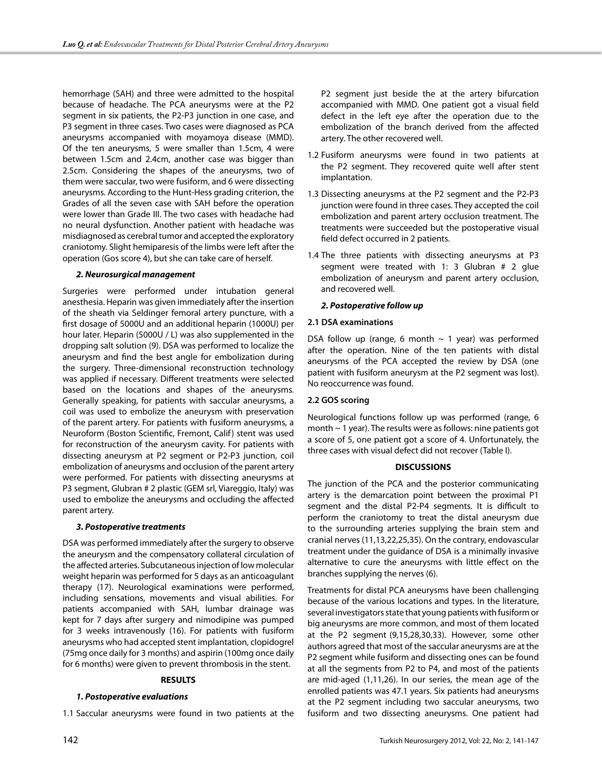hemorrhage (SAH) and three were admitted to the hospital because of headache. The PCA aneurysms were at the P2 segment in six patients, the P2-P3 junction in one case, and P3 segment in three cases. Two cases were diagnosed as PCA aneurysms accompanied with moyamoya disease (MMD). Of the ten aneurysms, 5 were smaller than 1.5cm, 4 were between 1.5cm and 2.4cm, another case was bigger than 2.5cm. Considering the shapes of the aneurysms, two of them were saccular, two were fusiform, and 6 were dissecting aneurysms. According to the Hunt-Hess grading criterion, the Grades of all the seven case with SAH before the operation were lower than Grade III. The two cases with headache had no neural dysfunction. Another patient with headache was misdiagnosed as cerebral tumor and accepted the exploratory craniotomy. Slight hemiparesis of the limbs were left after the operation (Gos score 4), but she can take care of herself.

## *2. Neurosurgical management*

Surgeries were performed under intubation general anesthesia. Heparin was given immediately after the insertion of the sheath via Seldinger femoral artery puncture, with a first dosage of 5000U and an additional heparin (1000U) per hour later. Heparin (5000U / L) was also supplemented in the dropping salt solution (9). DSA was performed to localize the aneurysm and find the best angle for embolization during the surgery. Three-dimensional reconstruction technology was applied if necessary. Different treatments were selected based on the locations and shapes of the aneurysms. Generally speaking, for patients with saccular aneurysms, a coil was used to embolize the aneurysm with preservation of the parent artery. For patients with fusiform aneurysms, a Neuroform (Boston Scientific, Fremont, Calif) stent was used for reconstruction of the aneurysm cavity. For patients with dissecting aneurysm at P2 segment or P2-P3 junction, coil embolization of aneurysms and occlusion of the parent artery were performed. For patients with dissecting aneurysms at P3 segment, Glubran # 2 plastic (GEM srl, Viareggio, Italy) was used to embolize the aneurysms and occluding the affected parent artery.

## *3. Postoperative treatments*

DSA was performed immediately after the surgery to observe the aneurysm and the compensatory collateral circulation of the affected arteries. Subcutaneous injection of low molecular weight heparin was performed for 5 days as an anticoagulant therapy (17). Neurological examinations were performed, including sensations, movements and visual abilities. For patients accompanied with SAH, lumbar drainage was kept for 7 days after surgery and nimodipine was pumped for 3 weeks intravenously (16). For patients with fusiform aneurysms who had accepted stent implantation, clopidogrel (75mg once daily for 3 months) and aspirin (100mg once daily for 6 months) were given to prevent thrombosis in the stent.

#### **RESULTS**

#### *1. Postoperative evaluations*

1.1 Saccular aneurysms were found in two patients at the

P2 segment just beside the at the artery bifurcation accompanied with MMD. One patient got a visual field defect in the left eye after the operation due to the embolization of the branch derived from the affected artery. The other recovered well.

- 1.2 Fusiform aneurysms were found in two patients at the P2 segment. They recovered quite well after stent implantation.
- 1.3 Dissecting aneurysms at the P2 segment and the P2-P3 junction were found in three cases. They accepted the coil embolization and parent artery occlusion treatment. The treatments were succeeded but the postoperative visual field defect occurred in 2 patients.
- 1.4 The three patients with dissecting aneurysms at P3 segment were treated with 1: 3 Glubran # 2 glue embolization of aneurysm and parent artery occlusion, and recovered well.

### *2. Postoperative follow up*

### **2.1 DSA examinations**

DSA follow up (range, 6 month  $\sim$  1 year) was performed after the operation. Nine of the ten patients with distal aneurysms of the PCA accepted the review by DSA (one patient with fusiform aneurysm at the P2 segment was lost). No reoccurrence was found.

## **2.2 GOS scoring**

Neurological functions follow up was performed (range, 6 month ~ 1 year). The results were as follows: nine patients got a score of 5, one patient got a score of 4. Unfortunately, the three cases with visual defect did not recover (Table I).

#### **DISCUSSIONS**

The junction of the PCA and the posterior communicating artery is the demarcation point between the proximal P1 segment and the distal P2-P4 segments. It is difficult to perform the craniotomy to treat the distal aneurysm due to the surrounding arteries supplying the brain stem and cranial nerves (11,13,22,25,35). On the contrary, endovascular treatment under the guidance of DSA is a minimally invasive alternative to cure the aneurysms with little effect on the branches supplying the nerves (6).

Treatments for distal PCA aneurysms have been challenging because of the various locations and types. In the literature, several investigators state that young patients with fusiform or big aneurysms are more common, and most of them located at the P2 segment (9,15,28,30,33). However, some other authors agreed that most of the saccular aneurysms are at the P2 segment while fusiform and dissecting ones can be found at all the segments from P2 to P4, and most of the patients are mid-aged (1,11,26). In our series, the mean age of the enrolled patients was 47.1 years. Six patients had aneurysms at the P2 segment including two saccular aneurysms, two fusiform and two dissecting aneurysms. One patient had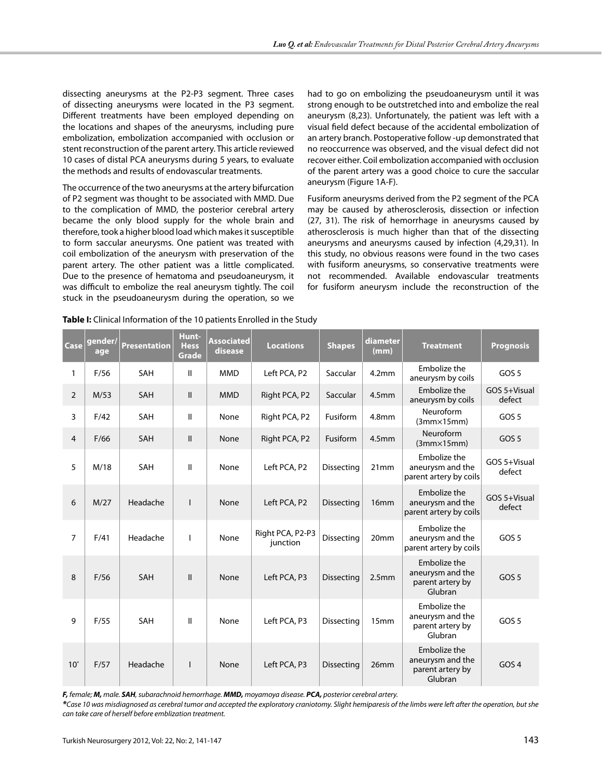dissecting aneurysms at the P2-P3 segment. Three cases of dissecting aneurysms were located in the P3 segment. Different treatments have been employed depending on the locations and shapes of the aneurysms, including pure embolization, embolization accompanied with occlusion or stent reconstruction of the parent artery. This article reviewed 10 cases of distal PCA aneurysms during 5 years, to evaluate the methods and results of endovascular treatments.

The occurrence of the two aneurysms at the artery bifurcation of P2 segment was thought to be associated with MMD. Due to the complication of MMD, the posterior cerebral artery became the only blood supply for the whole brain and therefore, took a higher blood load which makes it susceptible to form saccular aneurysms. One patient was treated with coil embolization of the aneurysm with preservation of the parent artery. The other patient was a little complicated. Due to the presence of hematoma and pseudoaneurysm, it was difficult to embolize the real aneurysm tightly. The coil stuck in the pseudoaneurysm during the operation, so we had to go on embolizing the pseudoaneurysm until it was strong enough to be outstretched into and embolize the real aneurysm (8,23). Unfortunately, the patient was left with a visual field defect because of the accidental embolization of an artery branch. Postoperative follow -up demonstrated that no reoccurrence was observed, and the visual defect did not recover either. Coil embolization accompanied with occlusion of the parent artery was a good choice to cure the saccular aneurysm (Figure 1A-F).

Fusiform aneurysms derived from the P2 segment of the PCA may be caused by atherosclerosis, dissection or infection (27, 31). The risk of hemorrhage in aneurysms caused by atherosclerosis is much higher than that of the dissecting aneurysms and aneurysms caused by infection (4,29,31). In this study, no obvious reasons were found in the two cases with fusiform aneurysms, so conservative treatments were not recommended. Available endovascular treatments for fusiform aneurysm include the reconstruction of the

| Case           | gender/<br>age | <b>Presentation</b> | Hunt-<br><b>Hess</b><br><b>Grade</b> | <b>Associated</b><br>disease | <b>Locations</b>             | <b>Shapes</b>     | diameter<br>(mm)  | <b>Treatment</b>                                                | <b>Prognosis</b>       |
|----------------|----------------|---------------------|--------------------------------------|------------------------------|------------------------------|-------------------|-------------------|-----------------------------------------------------------------|------------------------|
| 1              | F/56           | SAH                 | Ш                                    | <b>MMD</b>                   | Left PCA, P2                 | Saccular          | 4.2 <sub>mm</sub> | Embolize the<br>aneurysm by coils                               | GOS <sub>5</sub>       |
| $\overline{2}$ | M/53           | <b>SAH</b>          | $\mathbf{II}$                        | <b>MMD</b>                   | Right PCA, P2                | Saccular          | 4.5 <sub>mm</sub> | Embolize the<br>aneurysm by coils                               | GOS 5+Visual<br>defect |
| 3              | F/42           | <b>SAH</b>          | Ш                                    | None                         | Right PCA, P2                | Fusiform          | 4.8 <sub>mm</sub> | Neuroform<br>$(3mm \times 15mm)$                                | GOS 5                  |
| $\overline{4}$ | F/66           | <b>SAH</b>          | $\mathbf{II}$                        | None                         | Right PCA, P2                | Fusiform          | 4.5 <sub>mm</sub> | Neuroform<br>$(3mm \times 15mm)$                                | GOS <sub>5</sub>       |
| 5              | M/18           | <b>SAH</b>          | Ш                                    | None                         | Left PCA, P2                 | Dissecting        | 21mm              | Embolize the<br>aneurysm and the<br>parent artery by coils      | GOS 5+Visual<br>defect |
| 6              | M/27           | Headache            | I.                                   | None                         | Left PCA, P2                 | <b>Dissecting</b> | 16 <sub>mm</sub>  | Embolize the<br>aneurysm and the<br>parent artery by coils      | GOS 5+Visual<br>defect |
| $\overline{7}$ | F/41           | Headache            | T                                    | None                         | Right PCA, P2-P3<br>junction | Dissecting        | 20mm              | Embolize the<br>aneurysm and the<br>parent artery by coils      | GOS <sub>5</sub>       |
| 8              | F/56           | <b>SAH</b>          | $\mathbf{II}$                        | None                         | Left PCA, P3                 | <b>Dissecting</b> | 2.5 <sub>mm</sub> | Embolize the<br>aneurysm and the<br>parent artery by<br>Glubran | GOS <sub>5</sub>       |
| 9              | F/55           | SAH                 | $\mathbf{II}$                        | None                         | Left PCA, P3                 | <b>Dissecting</b> | 15 <sub>mm</sub>  | Embolize the<br>aneurysm and the<br>parent artery by<br>Glubran | GOS <sub>5</sub>       |
| $10^*$         | F/57           | Headache            | I.                                   | None                         | Left PCA, P3                 | <b>Dissecting</b> | 26mm              | Embolize the<br>aneurysm and the<br>parent artery by<br>Glubran | GOS <sub>4</sub>       |

**Table I:** Clinical Information of the 10 patients Enrolled in the Study

*F, female; M, male. SAH, subarachnoid hemorrhage. MMD, moyamoya disease. PCA, posterior cerebral artery.*

*\*Case 10 was misdiagnosed as cerebral tumor and accepted the exploratory craniotomy. Slight hemiparesis of the limbs were left after the operation, but she can take care of herself before emblization treatment.*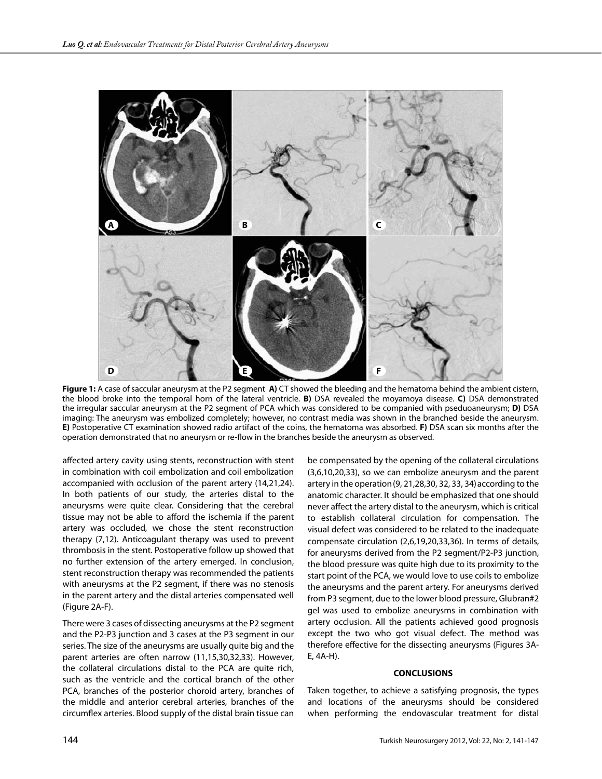

**Figure 1:** A case of saccular aneurysm at the P2 segment **A)** CT showed the bleeding and the hematoma behind the ambient cistern, the blood broke into the temporal horn of the lateral ventricle. **B)** DSA revealed the moyamoya disease. **C)** DSA demonstrated the irregular saccular aneurysm at the P2 segment of PCA which was considered to be companied with pseduoaneurysm; **D)** DSA imaging: The aneurysm was embolized completely; however, no contrast media was shown in the branched beside the aneurysm. **E)** Postoperative CT examination showed radio artifact of the coins, the hematoma was absorbed. **F)** DSA scan six months after the operation demonstrated that no aneurysm or re-flow in the branches beside the aneurysm as observed.

affected artery cavity using stents, reconstruction with stent in combination with coil embolization and coil embolization accompanied with occlusion of the parent artery (14,21,24). In both patients of our study, the arteries distal to the aneurysms were quite clear. Considering that the cerebral tissue may not be able to afford the ischemia if the parent artery was occluded, we chose the stent reconstruction therapy (7,12). Anticoagulant therapy was used to prevent thrombosis in the stent. Postoperative follow up showed that no further extension of the artery emerged. In conclusion, stent reconstruction therapy was recommended the patients with aneurysms at the P2 segment, if there was no stenosis in the parent artery and the distal arteries compensated well (Figure 2A-F).

There were 3 cases of dissecting aneurysms at the P2 segment and the P2-P3 junction and 3 cases at the P3 segment in our series. The size of the aneurysms are usually quite big and the parent arteries are often narrow (11,15,30,32,33). However, the collateral circulations distal to the PCA are quite rich, such as the ventricle and the cortical branch of the other PCA, branches of the posterior choroid artery, branches of the middle and anterior cerebral arteries, branches of the circumflex arteries. Blood supply of the distal brain tissue can

be compensated by the opening of the collateral circulations (3,6,10,20,33), so we can embolize aneurysm and the parent artery in the operation(9, 21,28,30, 32, 33, 34)according to the anatomic character. It should be emphasized that one should never affect the artery distal to the aneurysm, which is critical to establish collateral circulation for compensation. The visual defect was considered to be related to the inadequate compensate circulation (2,6,19,20,33,36). In terms of details, for aneurysms derived from the P2 segment/P2-P3 junction, the blood pressure was quite high due to its proximity to the start point of the PCA, we would love to use coils to embolize the aneurysms and the parent artery. For aneurysms derived from P3 segment, due to the lower blood pressure, Glubran#2 gel was used to embolize aneurysms in combination with artery occlusion. All the patients achieved good prognosis except the two who got visual defect. The method was therefore effective for the dissecting aneurysms (Figures 3A-E, 4A-H).

#### **CONCLUSIONS**

Taken together, to achieve a satisfying prognosis, the types and locations of the aneurysms should be considered when performing the endovascular treatment for distal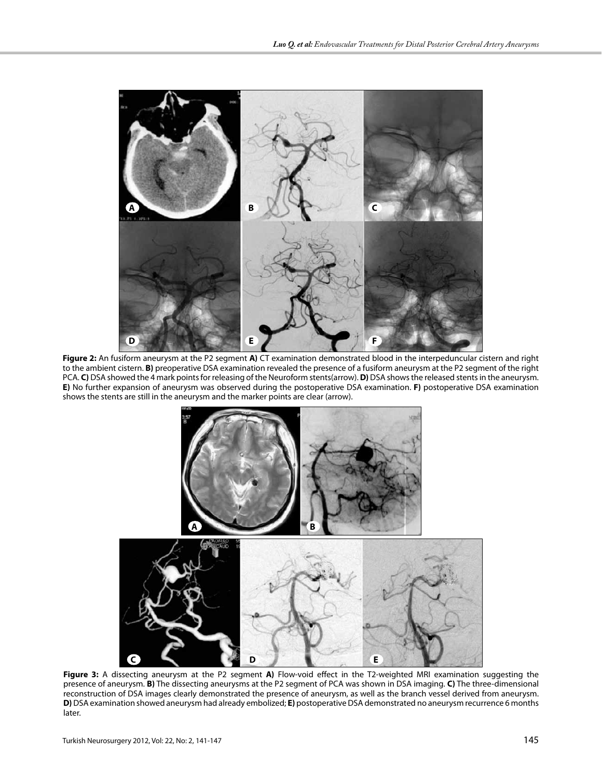

**Figure 2:** An fusiform aneurysm at the P2 segment **A)** CT examination demonstrated blood in the interpeduncular cistern and right to the ambient cistern. **B)** preoperative DSA examination revealed the presence of a fusiform aneurysm at the P2 segment of the right PCA. **C)** DSA showed the 4 mark points for releasing of the Neuroform stents(arrow). **D)** DSA shows the released stents in the aneurysm. **E)** No further expansion of aneurysm was observed during the postoperative DSA examination. **F)** postoperative DSA examination shows the stents are still in the aneurysm and the marker points are clear (arrow).



**Figure 3:** A dissecting aneurysm at the P2 segment **A)** Flow-void effect in the T2-weighted MRI examination suggesting the presence of aneurysm. **B)** The dissecting aneurysms at the P2 segment of PCA was shown in DSA imaging. **C)** The three-dimensional reconstruction of DSA images clearly demonstrated the presence of aneurysm, as well as the branch vessel derived from aneurysm. **D)** DSA examination showed aneurysm had already embolized; **E)** postoperative DSA demonstrated no aneurysm recurrence 6 months later.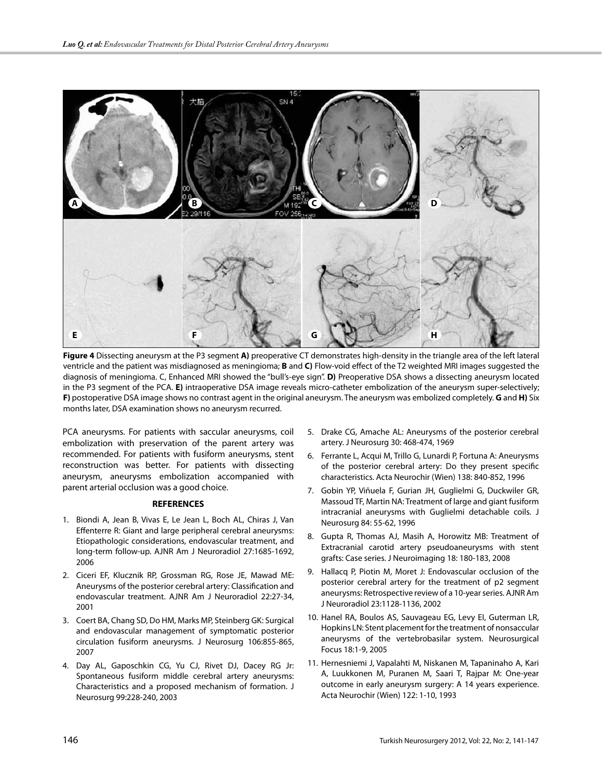

**Figure 4** Dissecting aneurysm at the P3 segment **A)** preoperative CT demonstrates high-density in the triangle area of the left lateral ventricle and the patient was misdiagnosed as meningioma; **B** and **C)** Flow-void effect of the T2 weighted MRI images suggested the diagnosis of meningioma. C, Enhanced MRI showed the "bull's-eye sign". **D)** Preoperative DSA shows a dissecting aneurysm located in the P3 segment of the PCA. **E)** intraoperative DSA image reveals micro-catheter embolization of the aneurysm super-selectively; **F)** postoperative DSA image shows no contrast agent in the original aneurysm. The aneurysm was embolized completely. **G** and **H)** Six months later, DSA examination shows no aneurysm recurred.

PCA aneurysms. For patients with saccular aneurysms, coil embolization with preservation of the parent artery was recommended. For patients with fusiform aneurysms, stent reconstruction was better. For patients with dissecting aneurysm, aneurysms embolization accompanied with parent arterial occlusion was a good choice.

#### **REFERENCES**

- 1. Biondi A, Jean B, Vivas E, Le Jean L, Boch AL, Chiras J, Van Effenterre R: Giant and large peripheral cerebral aneurysms: Etiopathologic considerations, endovascular treatment, and long-term follow-up. AJNR Am J Neuroradiol 27:1685-1692, 2006
- 2. Ciceri EF, Klucznik RP, Grossman RG, Rose JE, Mawad ME: Aneurysms of the posterior cerebral artery: Classification and endovascular treatment. AJNR Am J Neuroradiol 22:27-34, 2001
- 3. Coert BA, Chang SD, Do HM, Marks MP, Steinberg GK: Surgical and endovascular management of symptomatic posterior circulation fusiform aneurysms. J Neurosurg 106:855-865, 2007
- 4. Day AL, Gaposchkin CG, Yu CJ, Rivet DJ, Dacey RG Jr: Spontaneous fusiform middle cerebral artery aneurysms: Characteristics and a proposed mechanism of formation. J Neurosurg 99:228-240, 2003
- 5. Drake CG, Amache AL: Aneurysms of the posterior cerebral artery. J Neurosurg 30: 468-474, 1969
- 6. Ferrante L, Acqui M, Trillo G, Lunardi P, Fortuna A: Aneurysms of the posterior cerebral artery: Do they present specific characteristics. Acta Neurochir (Wien) 138: 840-852, 1996
- 7. Gobin YP, Viñuela F, Gurian JH, Guglielmi G, Duckwiler GR, Massoud TF, Martin NA: Treatment of large and giant fusiform intracranial aneurysms with Guglielmi detachable coils. J Neurosurg 84: 55-62, 1996
- 8. Gupta R, Thomas AJ, Masih A, Horowitz MB: Treatment of Extracranial carotid artery pseudoaneurysms with stent grafts: Case series. J Neuroimaging 18: 180-183, 2008
- 9. Hallacq P, Piotin M, Moret J: Endovascular occlusion of the posterior cerebral artery for the treatment of p2 segment aneurysms: Retrospective review of a 10-year series. AJNR Am J Neuroradiol 23:1128-1136, 2002
- 10. Hanel RA, Boulos AS, Sauvageau EG, Levy EI, Guterman LR, Hopkins LN: Stent placement for the treatment of nonsaccular aneurysms of the vertebrobasilar system. Neurosurgical Focus 18:1-9, 2005
- 11. Hernesniemi J, Vapalahti M, Niskanen M, Tapaninaho A, Kari A, Luukkonen M, Puranen M, Saari T, Rajpar M: One-year outcome in early aneurysm surgery: A 14 years experience. Acta Neurochir (Wien) 122: 1-10, 1993